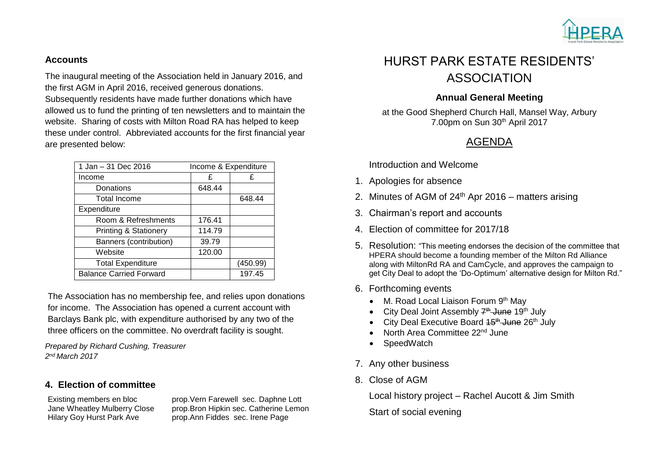

#### **Accounts**

The inaugural meeting of the Association held in January 2016, and the first AGM in April 2016, received generous donations. Subsequently residents have made further donations which have allowed us to fund the printing of ten newsletters and to maintain the website. Sharing of costs with Milton Road RA has helped to keep these under control. Abbreviated accounts for the first financial year are presented below:

| 1 Jan - 31 Dec 2016              | Income & Expenditure |          |
|----------------------------------|----------------------|----------|
| Income                           | £                    | £        |
| Donations                        | 648.44               |          |
| <b>Total Income</b>              |                      | 648.44   |
| Expenditure                      |                      |          |
| Room & Refreshments              | 176.41               |          |
| <b>Printing &amp; Stationery</b> | 114.79               |          |
| Banners (contribution)           | 39.79                |          |
| Website                          | 120.00               |          |
| <b>Total Expenditure</b>         |                      | (450.99) |
| <b>Balance Carried Forward</b>   |                      | 197.45   |

The Association has no membership fee, and relies upon donations for income. The Association has opened a current account with Barclays Bank plc, with expenditure authorised by any two of the three officers on the committee. No overdraft facility is sought.

*Prepared by Richard Cushing, Treasurer 2 nd March 2017*

### **4. Election of committee**

Existing members en bloc prop.Vern Farewell sec. Daphne Lott Jane Wheatley Mulberry Close prop.Bron Hipkin sec. Catherine Lemon Hilary Goy Hurst Park Ave prop.Ann Fiddes sec. Irene Page

# HURST PARK ESTATE RESIDENTS' ASSOCIATION

### **Annual General Meeting**

at the Good Shepherd Church Hall, Mansel Way, Arbury 7.00pm on Sun 30<sup>th</sup> April 2017

# AGENDA

Introduction and Welcome

- 1. Apologies for absence
- 2. Minutes of AGM of  $24<sup>th</sup>$  Apr 2016 matters arising
- 3. Chairman's report and accounts
- 4. Election of committee for 2017/18
- 5. Resolution: "This meeting endorses the decision of the committee that HPERA should become a founding member of the Milton Rd Alliance along with MiltonRd RA and CamCycle, and approves the campaign to get City Deal to adopt the 'Do-Optimum' alternative design for Milton Rd."
- 6. Forthcoming events
	- M. Road Local Liaison Forum 9th May
	- City Deal Joint Assembly 7<sup>th</sup> June 19<sup>th</sup> July
	- City Deal Executive Board 15<sup>th</sup> June 26<sup>th</sup> July
	- North Area Committee 22nd June
	- **SpeedWatch**
- 7. Any other business
- 8. Close of AGM

Local history project – Rachel Aucott & Jim Smith

Start of social evening